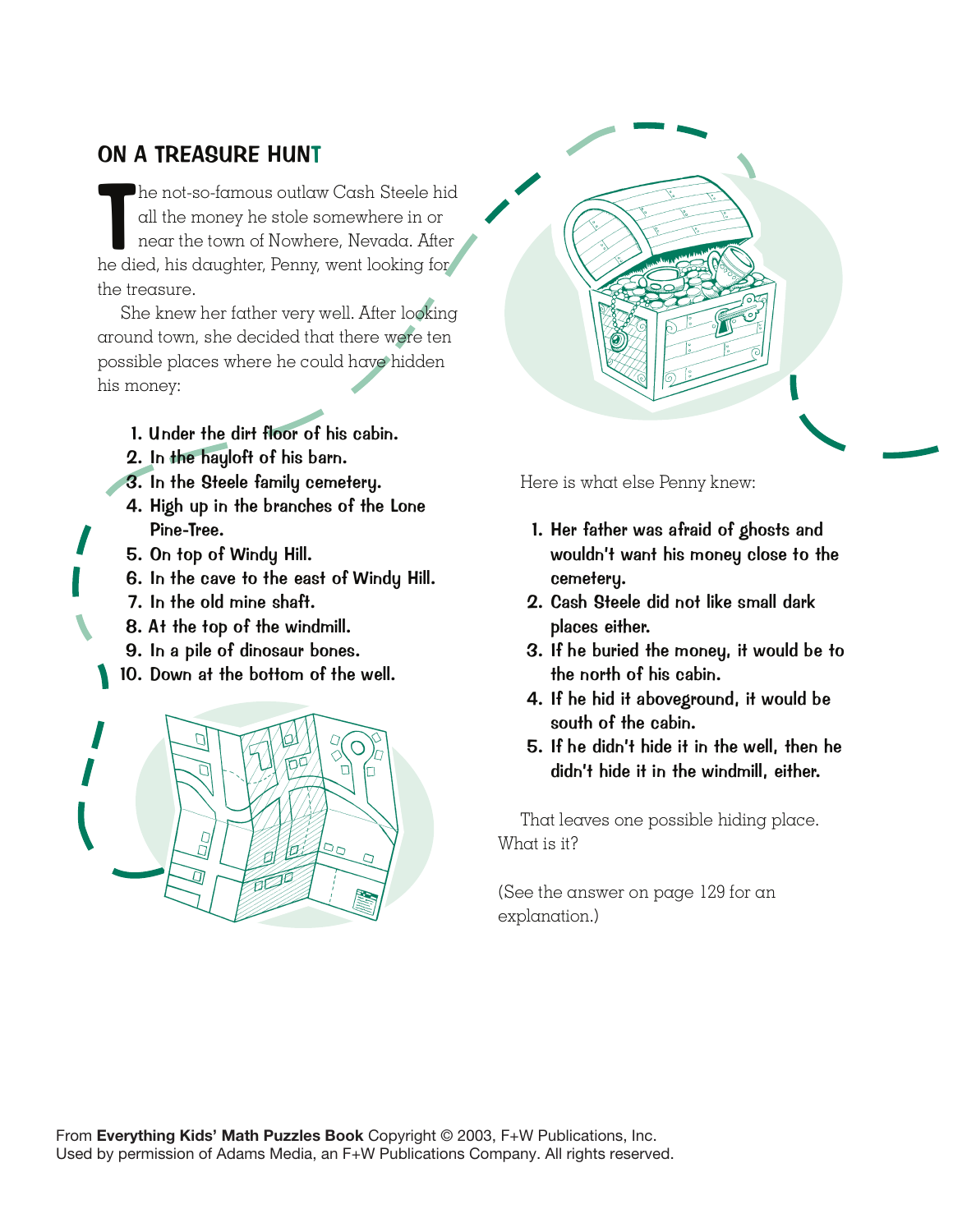## ON A TREASURE HUNT

The not-so-famous outlaw Cash Steele his<br>all the money he stole somewhere in or<br>near the town of Nowhere, Nevada. After<br>he died, his daughter, Penny, went looking for he not-so-famous outlaw Cash Steele hid all the money he stole somewhere in or near the town of Nowhere, Nevada. After the treasure.

She knew her father very well. After looking around town, she decided that there were ten possible places where he could have hidden his money:

- 1. Under the dirt floor of his cabin.
- 2. In the hayloft of his barn.
- 3. In the Steele family cemetery.
- 4. High up in the branches of the Lone Pine-Tree.
- 5. On top of Windy Hill.
- 6. In the cave to the east of Windy Hill.
- 7. In the old mine shaft.
- 8. At the top of the windmill.
- 9. In a pile of dinosaur bones.
- 10. Down at the bottom of the well.





Here is what else Penny knew:

- 1. Her father was afraid of ghosts and wouldn't want his money close to the cemetery.
- 2. Cash Steele did not like small dark places either.
- 3. If he buried the money, it would be to the north of his cabin.
- 4. If he hid it aboveground, it would be south of the cabin.
- 5. If he didn't hide it in the well, then he didn't hide it in the windmill, either.

That leaves one possible hiding place. What is it?

(See the answer on page 129 for an explanation.)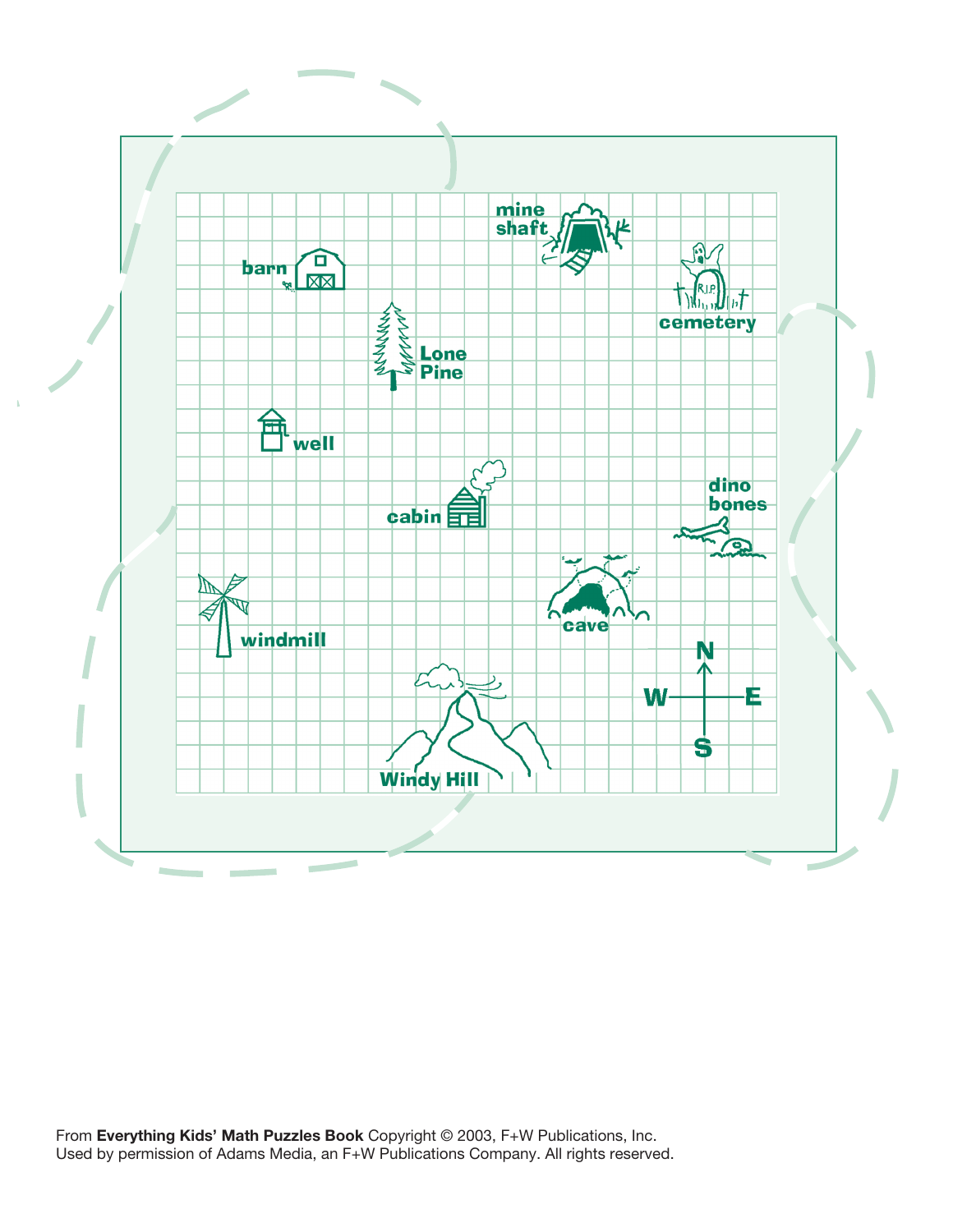

From **Everything Kids' Math Puzzles Book** Copyright © 2003, F+W Publications, Inc. Used by permission of Adams Media, an F+W Publications Company. All rights reserved.